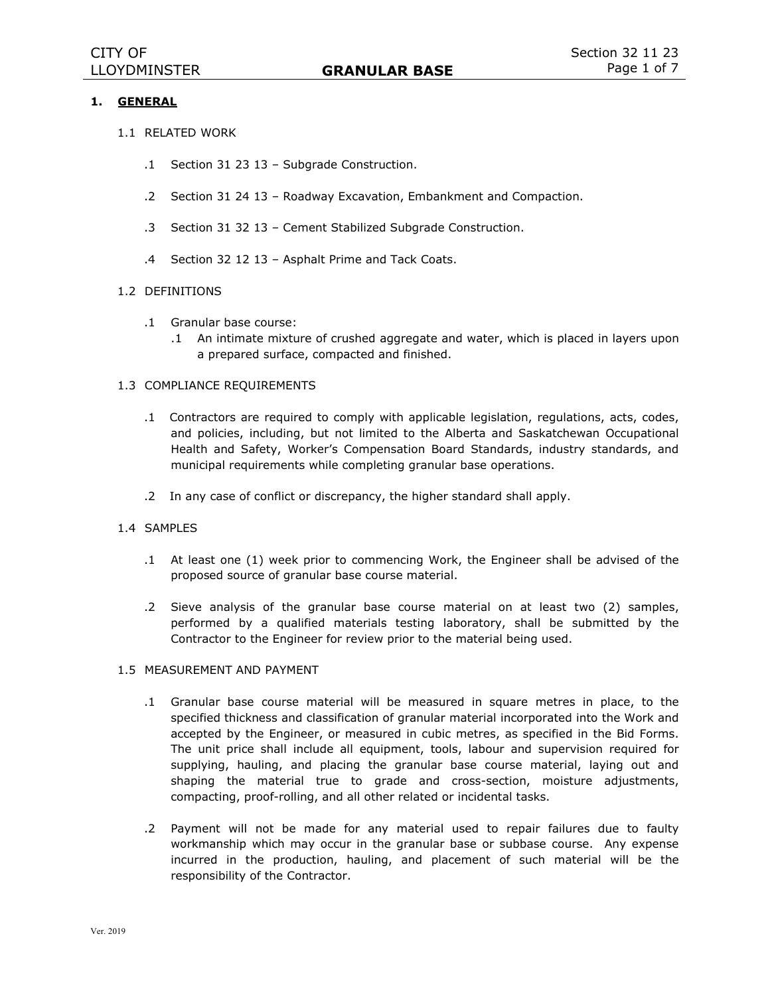# **1. GENERAL**

- 1.1 RELATED WORK
	- .1 Section 31 23 13 Subgrade Construction.
	- .2 Section 31 24 13 Roadway Excavation, Embankment and Compaction.
	- .3 Section 31 32 13 Cement Stabilized Subgrade Construction.
	- .4 Section 32 12 13 Asphalt Prime and Tack Coats.

## 1.2 DEFINITIONS

- .1 Granular base course:
	- .1 An intimate mixture of crushed aggregate and water, which is placed in layers upon a prepared surface, compacted and finished.

#### 1.3 COMPLIANCE REQUIREMENTS

- .1 Contractors are required to comply with applicable legislation, regulations, acts, codes, and policies, including, but not limited to the Alberta and Saskatchewan Occupational Health and Safety, Worker's Compensation Board Standards, industry standards, and municipal requirements while completing granular base operations.
- .2 In any case of conflict or discrepancy, the higher standard shall apply.

#### 1.4 SAMPLES

- .1 At least one (1) week prior to commencing Work, the Engineer shall be advised of the proposed source of granular base course material.
- .2 Sieve analysis of the granular base course material on at least two (2) samples, performed by a qualified materials testing laboratory, shall be submitted by the Contractor to the Engineer for review prior to the material being used.

### 1.5 MEASUREMENT AND PAYMENT

- .1 Granular base course material will be measured in square metres in place, to the specified thickness and classification of granular material incorporated into the Work and accepted by the Engineer, or measured in cubic metres, as specified in the Bid Forms. The unit price shall include all equipment, tools, labour and supervision required for supplying, hauling, and placing the granular base course material, laying out and shaping the material true to grade and cross-section, moisture adjustments, compacting, proof-rolling, and all other related or incidental tasks.
- .2 Payment will not be made for any material used to repair failures due to faulty workmanship which may occur in the granular base or subbase course. Any expense incurred in the production, hauling, and placement of such material will be the responsibility of the Contractor.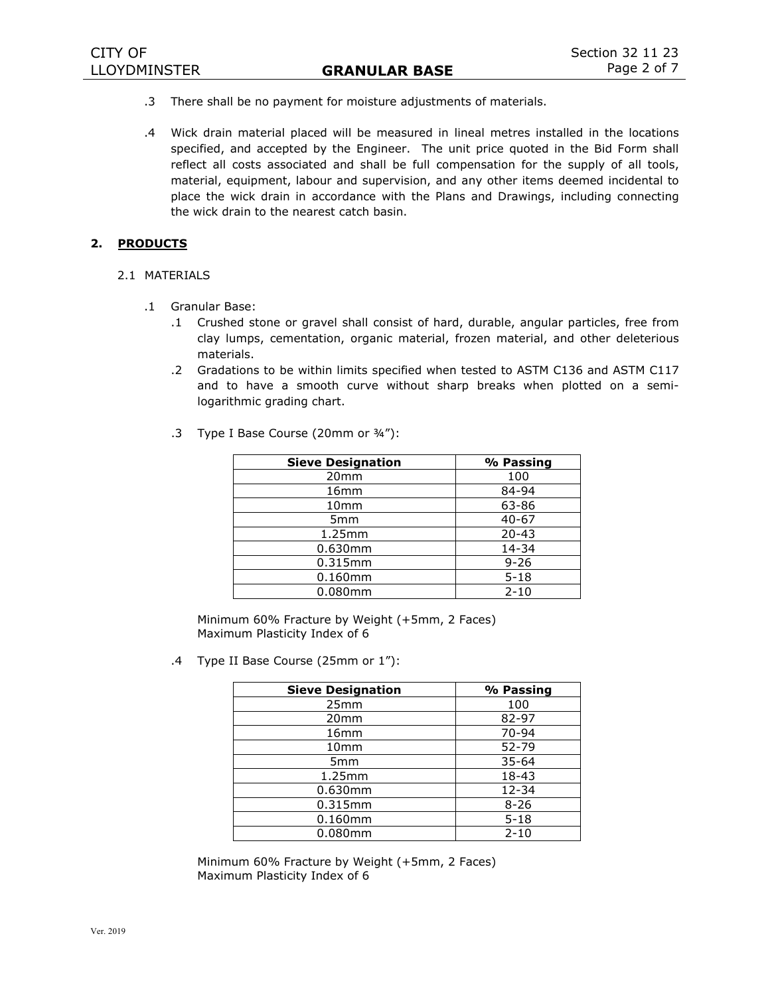- .3 There shall be no payment for moisture adjustments of materials.
- .4 Wick drain material placed will be measured in lineal metres installed in the locations specified, and accepted by the Engineer. The unit price quoted in the Bid Form shall reflect all costs associated and shall be full compensation for the supply of all tools, material, equipment, labour and supervision, and any other items deemed incidental to place the wick drain in accordance with the Plans and Drawings, including connecting the wick drain to the nearest catch basin.

## **2. PRODUCTS**

- 2.1 MATERIALS
	- .1 Granular Base:
		- .1 Crushed stone or gravel shall consist of hard, durable, angular particles, free from clay lumps, cementation, organic material, frozen material, and other deleterious materials.
		- .2 Gradations to be within limits specified when tested to ASTM C136 and ASTM C117 and to have a smooth curve without sharp breaks when plotted on a semilogarithmic grading chart.

| <b>Sieve Designation</b> | % Passing |
|--------------------------|-----------|
| 20 <sub>mm</sub>         | 100       |
| 16 <sub>mm</sub>         | 84-94     |
| 10 <sub>mm</sub>         | 63-86     |
| 5 <sub>mm</sub>          | $40 - 67$ |
| 1.25mm                   | $20 - 43$ |
| 0.630mm                  | 14-34     |
| 0.315mm                  | $9 - 26$  |
| $0.160$ mm               | $5 - 18$  |
| 0.080mm                  | $2 - 10$  |

.3 Type I Base Course (20mm or ¾"):

Minimum 60% Fracture by Weight (+5mm, 2 Faces) Maximum Plasticity Index of 6

.4 Type II Base Course (25mm or 1"):

| <b>Sieve Designation</b> | % Passing |
|--------------------------|-----------|
| 25mm                     | 100       |
| 20 <sub>mm</sub>         | 82-97     |
| 16 <sub>mm</sub>         | 70-94     |
| 10 <sub>mm</sub>         | 52-79     |
| 5 <sub>mm</sub>          | $35 - 64$ |
| 1.25mm                   | 18-43     |
| 0.630mm                  | $12 - 34$ |
| 0.315mm                  | $8 - 26$  |
| $0.160$ mm               | $5 - 18$  |
| 0.080mm                  | $2 - 10$  |

Minimum 60% Fracture by Weight (+5mm, 2 Faces) Maximum Plasticity Index of 6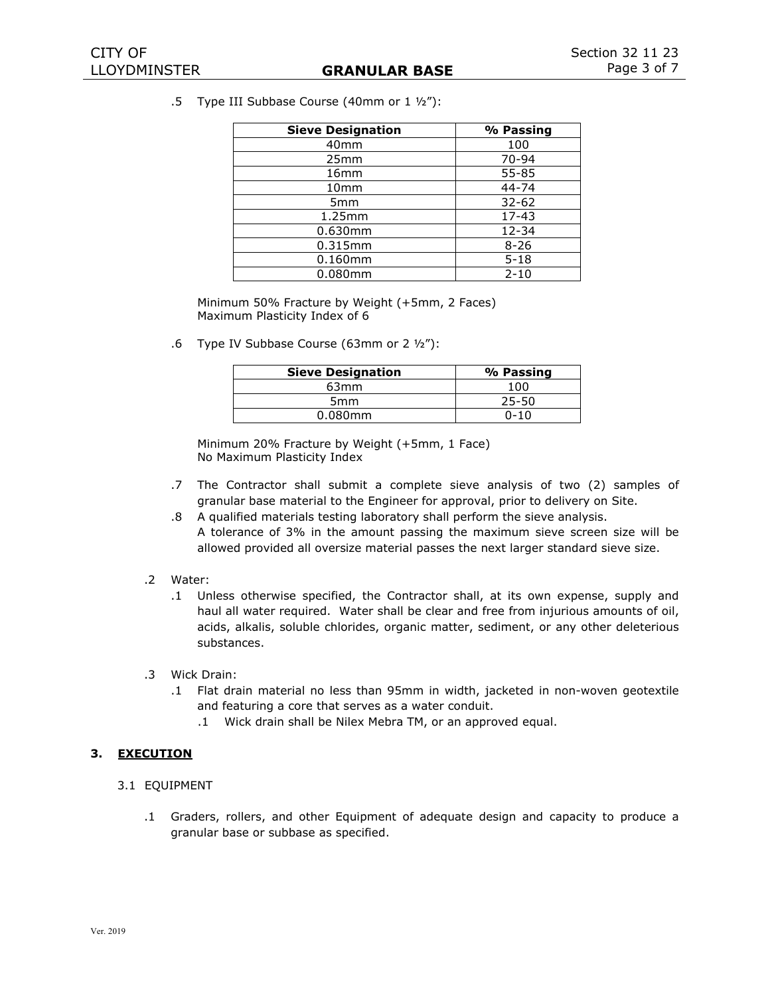.5 Type III Subbase Course (40mm or 1 ½"):

| <b>Sieve Designation</b> | % Passing |
|--------------------------|-----------|
| 40 <sub>mm</sub>         | 100       |
| 25mm                     | 70-94     |
| 16 <sub>mm</sub>         | 55-85     |
| 10 <sub>mm</sub>         | $44 - 74$ |
| 5 <sub>mm</sub>          | $32 - 62$ |
| 1.25mm                   | $17 - 43$ |
| 0.630mm                  | 12-34     |
| 0.315mm                  | $8 - 26$  |
| $0.160$ mm               | $5 - 18$  |
| 0.080mm                  | $2 - 10$  |

Minimum 50% Fracture by Weight (+5mm, 2 Faces) Maximum Plasticity Index of 6

.6 Type IV Subbase Course (63mm or 2 ½"):

| <b>Sieve Designation</b> | % Passing |
|--------------------------|-----------|
| 63 <sub>mm</sub>         | 100       |
| 5 <sub>mm</sub>          | $25 - 50$ |
| $0.080$ mm               | $0 - 10$  |

Minimum 20% Fracture by Weight (+5mm, 1 Face) No Maximum Plasticity Index

- .7 The Contractor shall submit a complete sieve analysis of two (2) samples of granular base material to the Engineer for approval, prior to delivery on Site.
- .8 A qualified materials testing laboratory shall perform the sieve analysis. A tolerance of 3% in the amount passing the maximum sieve screen size will be allowed provided all oversize material passes the next larger standard sieve size.

# .2 Water:

- .1 Unless otherwise specified, the Contractor shall, at its own expense, supply and haul all water required. Water shall be clear and free from injurious amounts of oil, acids, alkalis, soluble chlorides, organic matter, sediment, or any other deleterious substances.
- .3 Wick Drain:
	- .1 Flat drain material no less than 95mm in width, jacketed in non-woven geotextile and featuring a core that serves as a water conduit.
		- .1 Wick drain shall be Nilex Mebra TM, or an approved equal.

# **3. EXECUTION**

#### 3.1 EQUIPMENT

.1 Graders, rollers, and other Equipment of adequate design and capacity to produce a granular base or subbase as specified.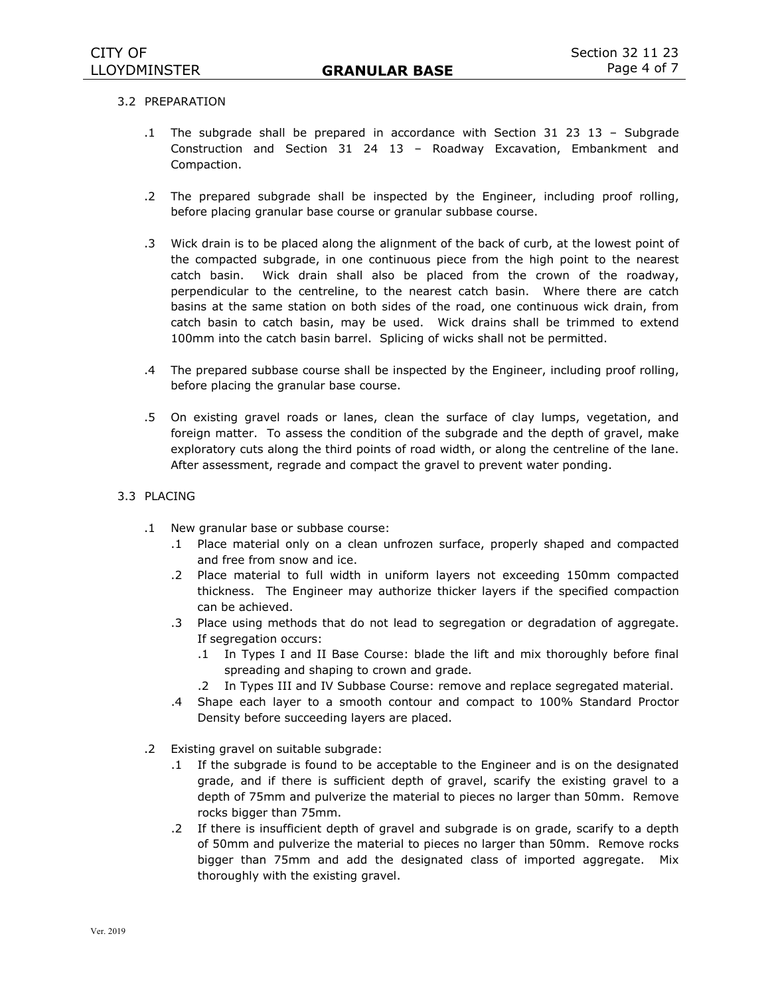## 3.2 PREPARATION

- .1 The subgrade shall be prepared in accordance with Section 31 23 13 Subgrade Construction and Section 31 24 13 – Roadway Excavation, Embankment and Compaction.
- .2 The prepared subgrade shall be inspected by the Engineer, including proof rolling, before placing granular base course or granular subbase course.
- .3 Wick drain is to be placed along the alignment of the back of curb, at the lowest point of the compacted subgrade, in one continuous piece from the high point to the nearest catch basin. Wick drain shall also be placed from the crown of the roadway, perpendicular to the centreline, to the nearest catch basin. Where there are catch basins at the same station on both sides of the road, one continuous wick drain, from catch basin to catch basin, may be used. Wick drains shall be trimmed to extend 100mm into the catch basin barrel. Splicing of wicks shall not be permitted.
- .4 The prepared subbase course shall be inspected by the Engineer, including proof rolling, before placing the granular base course.
- .5 On existing gravel roads or lanes, clean the surface of clay lumps, vegetation, and foreign matter. To assess the condition of the subgrade and the depth of gravel, make exploratory cuts along the third points of road width, or along the centreline of the lane. After assessment, regrade and compact the gravel to prevent water ponding.
- 3.3 PLACING
	- .1 New granular base or subbase course:
		- .1 Place material only on a clean unfrozen surface, properly shaped and compacted and free from snow and ice.
		- .2 Place material to full width in uniform layers not exceeding 150mm compacted thickness. The Engineer may authorize thicker layers if the specified compaction can be achieved.
		- .3 Place using methods that do not lead to segregation or degradation of aggregate. If segregation occurs:
			- .1 In Types I and II Base Course: blade the lift and mix thoroughly before final spreading and shaping to crown and grade.
			- .2 In Types III and IV Subbase Course: remove and replace segregated material.
		- .4 Shape each layer to a smooth contour and compact to 100% Standard Proctor Density before succeeding layers are placed.
	- .2 Existing gravel on suitable subgrade:
		- .1 If the subgrade is found to be acceptable to the Engineer and is on the designated grade, and if there is sufficient depth of gravel, scarify the existing gravel to a depth of 75mm and pulverize the material to pieces no larger than 50mm. Remove rocks bigger than 75mm.
		- .2 If there is insufficient depth of gravel and subgrade is on grade, scarify to a depth of 50mm and pulverize the material to pieces no larger than 50mm. Remove rocks bigger than 75mm and add the designated class of imported aggregate. Mix thoroughly with the existing gravel.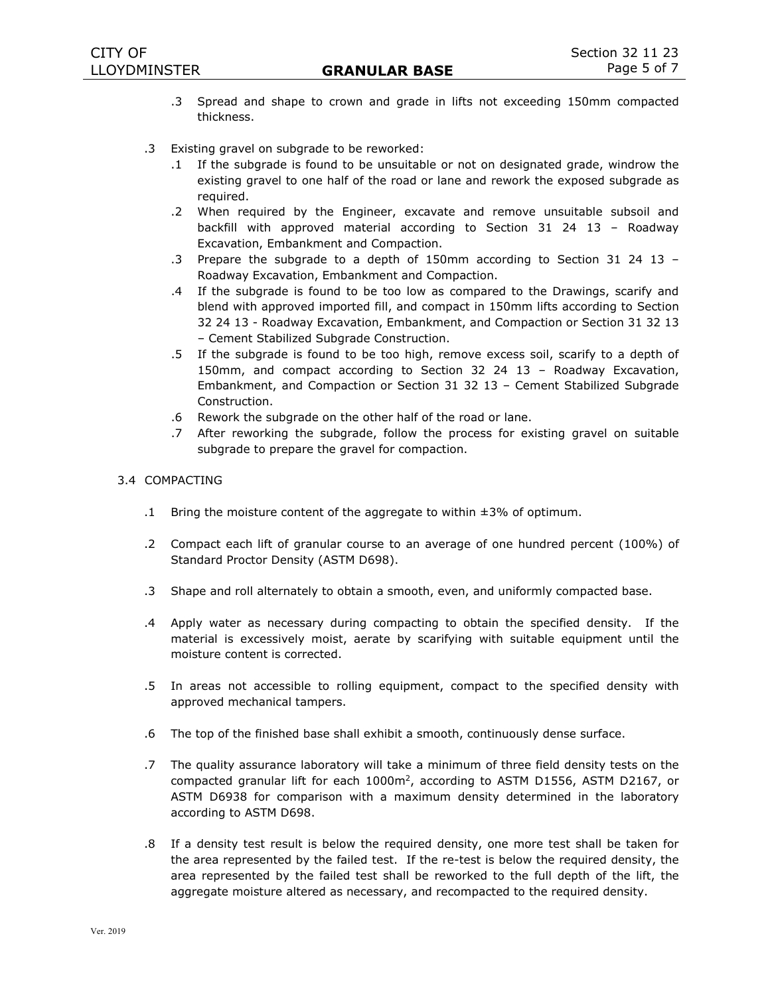- .3 Spread and shape to crown and grade in lifts not exceeding 150mm compacted thickness.
- .3 Existing gravel on subgrade to be reworked:
	- .1 If the subgrade is found to be unsuitable or not on designated grade, windrow the existing gravel to one half of the road or lane and rework the exposed subgrade as required.
	- .2 When required by the Engineer, excavate and remove unsuitable subsoil and backfill with approved material according to Section 31 24 13 – Roadway Excavation, Embankment and Compaction.
	- .3 Prepare the subgrade to a depth of 150mm according to Section 31 24 13 Roadway Excavation, Embankment and Compaction.
	- .4 If the subgrade is found to be too low as compared to the Drawings, scarify and blend with approved imported fill, and compact in 150mm lifts according to Section 32 24 13 - Roadway Excavation, Embankment, and Compaction or Section 31 32 13 – Cement Stabilized Subgrade Construction.
	- .5 If the subgrade is found to be too high, remove excess soil, scarify to a depth of 150mm, and compact according to Section 32 24 13 – Roadway Excavation, Embankment, and Compaction or Section 31 32 13 – Cement Stabilized Subgrade Construction.
	- .6 Rework the subgrade on the other half of the road or lane.
	- .7 After reworking the subgrade, follow the process for existing gravel on suitable subgrade to prepare the gravel for compaction.

## 3.4 COMPACTING

- .1 Bring the moisture content of the aggregate to within ±3% of optimum.
- .2 Compact each lift of granular course to an average of one hundred percent (100%) of Standard Proctor Density (ASTM D698).
- .3 Shape and roll alternately to obtain a smooth, even, and uniformly compacted base.
- .4 Apply water as necessary during compacting to obtain the specified density. If the material is excessively moist, aerate by scarifying with suitable equipment until the moisture content is corrected.
- .5 In areas not accessible to rolling equipment, compact to the specified density with approved mechanical tampers.
- .6 The top of the finished base shall exhibit a smooth, continuously dense surface.
- .7 The quality assurance laboratory will take a minimum of three field density tests on the compacted granular lift for each 1000m<sup>2</sup> , according to ASTM D1556, ASTM D2167, or ASTM D6938 for comparison with a maximum density determined in the laboratory according to ASTM D698.
- .8 If a density test result is below the required density, one more test shall be taken for the area represented by the failed test. If the re-test is below the required density, the area represented by the failed test shall be reworked to the full depth of the lift, the aggregate moisture altered as necessary, and recompacted to the required density.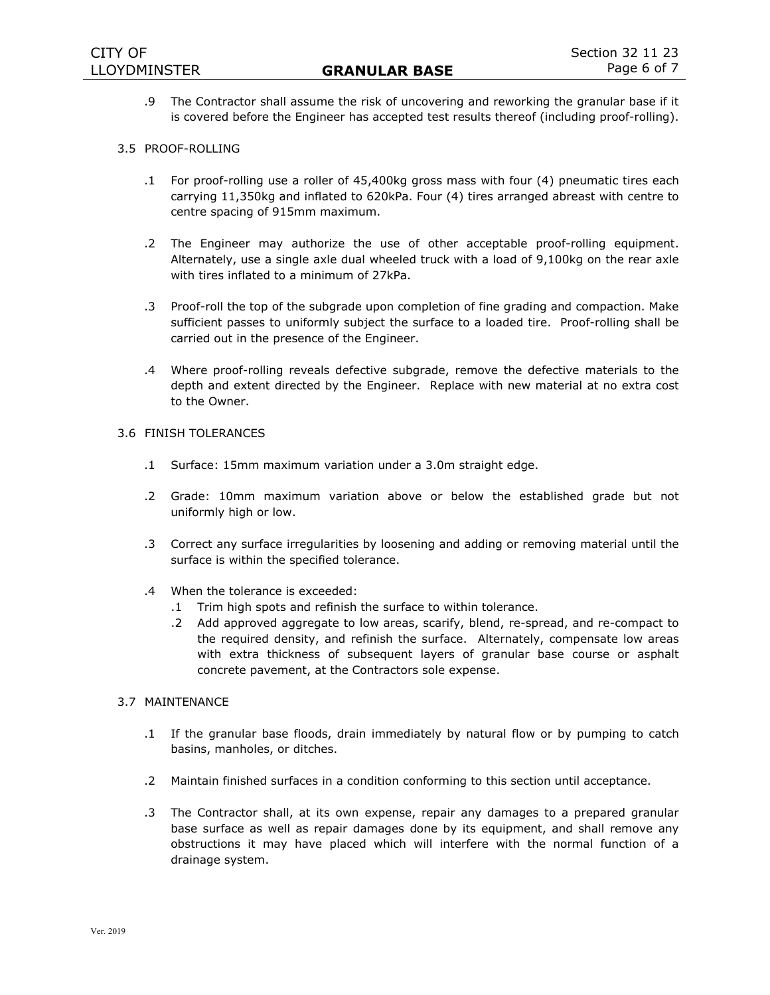.9 The Contractor shall assume the risk of uncovering and reworking the granular base if it is covered before the Engineer has accepted test results thereof (including proof-rolling).

# 3.5 PROOF-ROLLING

- .1 For proof-rolling use a roller of 45,400kg gross mass with four (4) pneumatic tires each carrying 11,350kg and inflated to 620kPa. Four (4) tires arranged abreast with centre to centre spacing of 915mm maximum.
- .2 The Engineer may authorize the use of other acceptable proof-rolling equipment. Alternately, use a single axle dual wheeled truck with a load of 9,100kg on the rear axle with tires inflated to a minimum of 27kPa.
- .3 Proof-roll the top of the subgrade upon completion of fine grading and compaction. Make sufficient passes to uniformly subject the surface to a loaded tire. Proof-rolling shall be carried out in the presence of the Engineer.
- .4 Where proof-rolling reveals defective subgrade, remove the defective materials to the depth and extent directed by the Engineer. Replace with new material at no extra cost to the Owner.

## 3.6 FINISH TOLERANCES

- .1 Surface: 15mm maximum variation under a 3.0m straight edge.
- .2 Grade: 10mm maximum variation above or below the established grade but not uniformly high or low.
- .3 Correct any surface irregularities by loosening and adding or removing material until the surface is within the specified tolerance.
- .4 When the tolerance is exceeded:
	- .1 Trim high spots and refinish the surface to within tolerance.
	- .2 Add approved aggregate to low areas, scarify, blend, re-spread, and re-compact to the required density, and refinish the surface. Alternately, compensate low areas with extra thickness of subsequent layers of granular base course or asphalt concrete pavement, at the Contractors sole expense.

# 3.7 MAINTENANCE

- .1 If the granular base floods, drain immediately by natural flow or by pumping to catch basins, manholes, or ditches.
- .2 Maintain finished surfaces in a condition conforming to this section until acceptance.
- .3 The Contractor shall, at its own expense, repair any damages to a prepared granular base surface as well as repair damages done by its equipment, and shall remove any obstructions it may have placed which will interfere with the normal function of a drainage system.